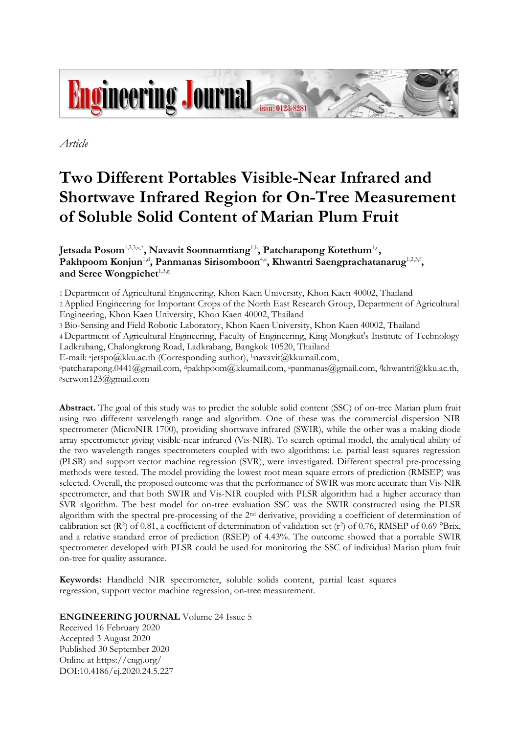

*Article*

# **Two Different Portables Visible-Near Infrared and Shortwave Infrared Region for On-Tree Measurement of Soluble Solid Content of Marian Plum Fruit**

Jetsada Posom $^{1,2,3,a^*}$ , Navavit Soonnamtiang<sup>1,b</sup>, Patcharapong Kotethum $^{1,c}$ , Pakhpoom Konjun<sup>1,d</sup>, Panmanas Sirisomboon<sup>4,e</sup>, Khwantri Saengprachatanarug<sup>1,2,3,f</sup>, and Seree Wongpichet<sup>1,3,g</sup>

1 Department of Agricultural Engineering, Khon Kaen University, Khon Kaen 40002, Thailand 2 Applied Engineering for Important Crops of the North East Research Group, Department of Agricultural Engineering, Khon Kaen University, Khon Kaen 40002, Thailand

3 Bio-Sensing and Field Robotic Laboratory, Khon Kaen University, Khon Kaen 40002, Thailand

4 Department of Agricultural Engineering, Faculty of Engineering, King Mongkut's Institute of Technology Ladkrabang, Chalongkrung Road, Ladkrabang, Bangkok 10520, Thailand

E-mail: <sup>a</sup> jetspo@kku.ac.th (Corresponding author), <sup>b</sup>[navavit@kkumail.com,](mailto:bnavavit@kkumail.com)

<sup>c</sup>patcharapong.0441@gmail.com, <sup>d</sup>pakhpoom@kkumail.com, <sup>e</sup>panmanas@gmail.com, fkhwantri@kku.ac.th, <sup>g</sup>serwon123@gmail.com

**Abstract.** The goal of this study was to predict the soluble solid content (SSC) of on-tree Marian plum fruit using two different wavelength range and algorithm. One of these was the commercial dispersion NIR spectrometer (MicroNIR 1700), providing shortwave infrared (SWIR), while the other was a making diode array spectrometer giving visible-near infrared (Vis-NIR). To search optimal model, the analytical ability of the two wavelength ranges spectrometers coupled with two algorithms: i.e. partial least squares regression (PLSR) and support vector machine regression (SVR), were investigated. Different spectral pre-processing methods were tested. The model providing the lowest root mean square errors of prediction (RMSEP) was selected. Overall, the proposed outcome was that the performance of SWIR was more accurate than Vis-NIR spectrometer, and that both SWIR and Vis-NIR coupled with PLSR algorithm had a higher accuracy than SVR algorithm. The best model for on-tree evaluation SSC was the SWIR constructed using the PLSR algorithm with the spectral pre-processing of the 2nd derivative, providing a coefficient of determination of calibration set (R<sup>2</sup>) of 0.81, a coefficient of determination of validation set (r<sup>2</sup>) of 0.76, RMSEP of 0.69 °Brix, and a relative standard error of prediction (RSEP) of 4.43%. The outcome showed that a portable SWIR spectrometer developed with PLSR could be used for monitoring the SSC of individual Marian plum fruit on-tree for quality assurance.

**Keywords:** Handheld NIR spectrometer, soluble solids content, partial least squares regression, support vector machine regression, on-tree measurement.

# **ENGINEERING JOURNAL** Volume 24 Issue 5

Received 16 February 2020 Accepted 3 August 2020 Published 30 September 2020 Online at https://engj.org/ DOI:10.4186/ej.2020.24.5.227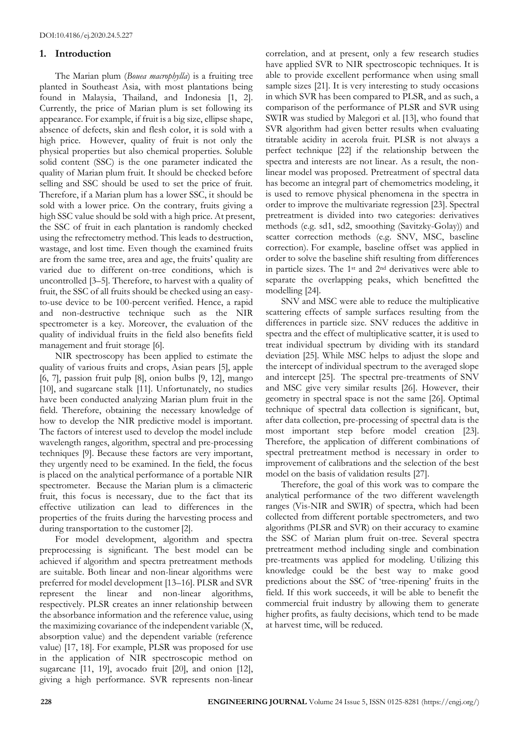# **1. Introduction**

The Marian plum (*Bouea macrophylla*) is a fruiting tree planted in Southeast Asia, with most plantations being found in Malaysia, Thailand, and Indonesia [1, 2]. Currently, the price of Marian plum is set following its appearance. For example, if fruit is a big size, ellipse shape, absence of defects, skin and flesh color, it is sold with a high price. However, quality of fruit is not only the physical properties but also chemical properties. Soluble solid content (SSC) is the one parameter indicated the quality of Marian plum fruit. It should be checked before selling and SSC should be used to set the price of fruit. Therefore, if a Marian plum has a lower SSC, it should be sold with a lower price. On the contrary, fruits giving a high SSC value should be sold with a high price. At present, the SSC of fruit in each plantation is randomly checked using the refrectometry method. This leads to destruction, wastage, and lost time. Even though the examined fruits are from the same tree, area and age, the fruits' quality are varied due to different on-tree conditions, which is uncontrolled [3–5]. Therefore, to harvest with a quality of fruit, the SSC of all fruits should be checked using an easyto-use device to be 100-percent verified. Hence, a rapid and non-destructive technique such as the NIR spectrometer is a key. Moreover, the evaluation of the quality of individual fruits in the field also benefits field management and fruit storage [6].

NIR spectroscopy has been applied to estimate the quality of various fruits and crops, Asian pears [5], apple [6, 7], passion fruit pulp [8], onion bulbs [9, 12], mango [10], and sugarcane stalk [11]. Unfortunately, no studies have been conducted analyzing Marian plum fruit in the field. Therefore, obtaining the necessary knowledge of how to develop the NIR predictive model is important. The factors of interest used to develop the model include wavelength ranges, algorithm, spectral and pre-processing techniques [9]. Because these factors are very important, they urgently need to be examined. In the field, the focus is placed on the analytical performance of a portable NIR spectrometer. Because the Marian plum is a climacteric fruit, this focus is necessary, due to the fact that its effective utilization can lead to differences in the properties of the fruits during the harvesting process and during transportation to the customer [2].

For model development, algorithm and spectra preprocessing is significant. The best model can be achieved if algorithm and spectra pretreatment methods are suitable. Both linear and non-linear algorithms were preferred for model development [13–16]. PLSR and SVR represent the linear and non-linear algorithms, respectively. PLSR creates an inner relationship between the absorbance information and the reference value, using the maximizing covariance of the independent variable (X, absorption value) and the dependent variable (reference value) [17, 18]. For example, PLSR was proposed for use in the application of NIR spectroscopic method on sugarcane [11, 19], avocado fruit [20], and onion [12], giving a high performance. SVR represents non-linear correlation, and at present, only a few research studies have applied SVR to NIR spectroscopic techniques. It is able to provide excellent performance when using small sample sizes [21]. It is very interesting to study occasions in which SVR has been compared to PLSR, and as such, a comparison of the performance of PLSR and SVR using SWIR was studied by Malegori et al. [13], who found that SVR algorithm had given better results when evaluating titratable acidity in acerola fruit. PLSR is not always a perfect technique [22] if the relationship between the spectra and interests are not linear. As a result, the nonlinear model was proposed. Pretreatment of spectral data has become an integral part of chemometrics modeling, it is used to remove physical phenomena in the spectra in order to improve the multivariate regression [23]. Spectral pretreatment is divided into two categories: derivatives methods (e.g. sd1, sd2, smoothing (Savitzky-Golay)) and scatter correction methods (e.g. SNV, MSC, baseline correction). For example, baseline offset was applied in order to solve the baseline shift resulting from differences in particle sizes. The 1st and 2nd derivatives were able to separate the overlapping peaks, which benefitted the modelling [24].

SNV and MSC were able to reduce the multiplicative scattering effects of sample surfaces resulting from the differences in particle size. SNV reduces the additive in spectra and the effect of multiplicative scatter, it is used to treat individual spectrum by dividing with its standard deviation [25]. While MSC helps to adjust the slope and the intercept of individual spectrum to the averaged slope and intercept [25]. The spectral pre-treatments of SNV and MSC give very similar results [26]. However, their geometry in spectral space is not the same [26]. Optimal technique of spectral data collection is significant, but, after data collection, pre-processing of spectral data is the most important step before model creation [23]. Therefore, the application of different combinations of spectral pretreatment method is necessary in order to improvement of calibrations and the selection of the best model on the basis of validation results [27].

Therefore, the goal of this work was to compare the analytical performance of the two different wavelength ranges (Vis-NIR and SWIR) of spectra, which had been collected from different portable spectrometers, and two algorithms (PLSR and SVR) on their accuracy to examine the SSC of Marian plum fruit on-tree. Several spectra pretreatment method including single and combination pre-treatments was applied for modeling. Utilizing this knowledge could be the best way to make good predictions about the SSC of 'tree-ripening' fruits in the field. If this work succeeds, it will be able to benefit the commercial fruit industry by allowing them to generate higher profits, as faulty decisions, which tend to be made at harvest time, will be reduced.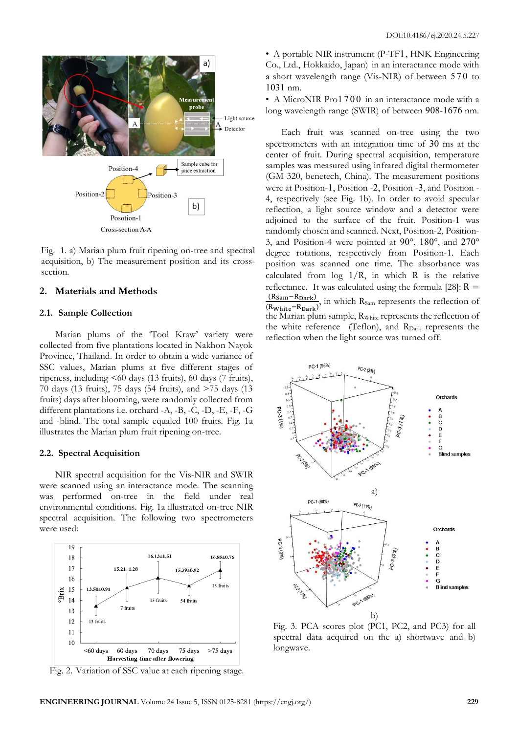

Fig. 1. a) Marian plum fruit ripening on-tree and spectral acquisition, b) The measurement position and its crosssection.

## **2. Materials and Methods**

## **2.1. Sample Collection**

Marian plums of the 'Tool Kraw' variety were collected from five plantations located in Nakhon Nayok Province, Thailand. In order to obtain a wide variance of SSC values, Marian plums at five different stages of ripeness, including  $\leq 60$  days (13 fruits), 60 days (7 fruits), 70 days (13 fruits), 75 days (54 fruits), and >75 days (13 fruits) days after blooming, were randomly collected from different plantations i.e. orchard -A, -B, -C, -D, -E, -F, -G and -blind. The total sample equaled 100 fruits. Fig. 1a illustrates the Marian plum fruit ripening on-tree.

## **2.2. Spectral Acquisition**

NIR spectral acquisition for the Vis-NIR and SWIR were scanned using an interactance mode. The scanning was performed on-tree in the field under real environmental conditions. Fig. 1a illustrated on-tree NIR spectral acquisition. The following two spectrometers were used:



Fig. 2. Variation of SSC value at each ripening stage.

• A portable NIR instrument (P-TF1, HNK Engineering Co., Ltd., Hokkaido, Japan) in an interactance mode with a short wavelength range (Vis-NIR) of between 570 to 1031 nm.

• A MicroNIR Pro1700 in an interactance mode with a long wavelength range (SWIR) of between 908-1676 nm.

Each fruit was scanned on-tree using the two spectrometers with an integration time of 30 ms at the center of fruit. During spectral acquisition, temperature samples was measured using infrared digital thermometer (GM 320, benetech, China). The measurement positions were at Position-1, Position -2, Position -3, and Position - 4, respectively (see Fig. 1b). In order to avoid specular reflection, a light source window and a detector were adjoined to the surface of the fruit. Position-1 was randomly chosen and scanned. Next, Position-2, Position-3, and Position-4 were pointed at 90°, 180°, and 270° degree rotations, respectively from Position-1. Each position was scanned one time. The absorbance was calculated from  $log 1/R$ , in which R is the relative reflectance. It was calculated using the formula [28]:  $R =$  $\frac{(R_{\text{Sam}}-R_{\text{Dark}})}{R_{\text{S}}}$  in which  $R_{\text{Sam}}$  represents the reflection of  $(R_{White}-R_{Dark})$ the Marian plum sample, R<sub>White</sub> represents the reflection of the white reference (Teflon), and R<sub>Dark</sub> represents the reflection when the light source was turned off.



Fig. 3. PCA scores plot (PC1, PC2, and PC3) for all spectral data acquired on the a) shortwave and b) longwave.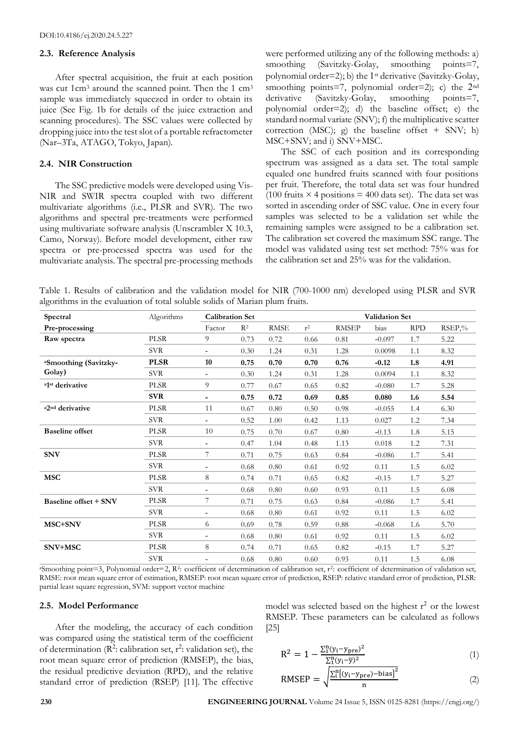## **2.3. Reference Analysis**

After spectral acquisition, the fruit at each position was cut 1cm<sup>3</sup> around the scanned point. Then the 1 cm<sup>3</sup> sample was immediately squeezed in order to obtain its juice (See Fig. 1b for details of the juice extraction and scanning procedures). The SSC values were collected by dropping juice into the test slot of a portable refractometer (Nar–3Ta, ATAGO, Tokyo, Japan).

#### **2.4. NIR Construction**

The SSC predictive models were developed using Vis-NIR and SWIR spectra coupled with two different multivariate algorithms (i.e., PLSR and SVR). The two algorithms and spectral pre-treatments were performed using multivariate software analysis (Unscrambler X 10.3, Camo, Norway). Before model development, either raw spectra or pre-processed spectra was used for the multivariate analysis. The spectral pre-processing methods were performed utilizing any of the following methods: a) smoothing (Savitzky-Golay, smoothing points=7, polynomial order=2); b) the  $1$ <sup>st</sup> derivative (Savitzky-Golay, smoothing points=7, polynomial order=2); c) the  $2<sup>nd</sup>$ derivative (Savitzky-Golay, smoothing points=7, polynomial order=2); d) the baseline offset; e) the standard normal variate (SNV); f) the multiplicative scatter correction (MSC); g) the baseline offset  $+$  SNV; h) MSC+SNV; and i) SNV+MSC.

The SSC of each position and its corresponding spectrum was assigned as a data set. The total sample equaled one hundred fruits scanned with four positions per fruit. Therefore, the total data set was four hundred (100 fruits  $\times$  4 positions = 400 data set). The data set was sorted in ascending order of SSC value. One in every four samples was selected to be a validation set while the remaining samples were assigned to be a calibration set. The calibration set covered the maximum SSC range. The model was validated using test set method: 75% was for the calibration set and 25% was for the validation.

Table 1. Results of calibration and the validation model for NIR (700-1000 nm) developed using PLSR and SVR algorithms in the evaluation of total soluble solids of Marian plum fruits.

|                                         |             | <b>Validation Set</b>    |                |             |       |              |           |            |           |  |
|-----------------------------------------|-------------|--------------------------|----------------|-------------|-------|--------------|-----------|------------|-----------|--|
| Spectral                                | Algorithms  | <b>Calibration Set</b>   |                |             |       |              |           |            |           |  |
| Pre-processing                          |             | Factor                   | R <sup>2</sup> | <b>RMSE</b> | $r^2$ | <b>RMSEP</b> | bias      | <b>RPD</b> | $RSEP,\%$ |  |
| Raw spectra                             | <b>PLSR</b> | 9                        | 0.73           | 0.72        | 0.66  | 0.81         | $-0.097$  | 1.7        | 5.22      |  |
|                                         | <b>SVR</b>  | $\overline{\phantom{a}}$ | 0.30           | 1.24        | 0.31  | 1.28         | 0.0098    | 1.1        | 8.32      |  |
| <sup>a</sup> Smoothing (Savitzky-       | <b>PLSR</b> | 10                       | 0.75           | 0.70        | 0.70  | 0.76         | $-0.12$   | 1.8        | 4.91      |  |
| Golay)                                  | <b>SVR</b>  | $\overline{\phantom{a}}$ | 0.30           | 1.24        | 0.31  | 1.28         | 0.0094    | 1.1        | 8.32      |  |
| <sup>a1st</sup> derivative              | <b>PLSR</b> | 9                        | 0.77           | 0.67        | 0.65  | 0.82         | $-0.080$  | 1.7        | 5.28      |  |
|                                         | <b>SVR</b>  | $\blacksquare$           | 0.75           | 0.72        | 0.69  | 0.85         | 0.080     | 1.6        | 5.54      |  |
| <sup>a</sup> 2 <sup>nd</sup> derivative | <b>PLSR</b> | 11                       | 0.67           | $0.80\,$    | 0.50  | $0.98\,$     | $-0.055$  | 1.4        | 6.30      |  |
|                                         | <b>SVR</b>  |                          | 0.52           | 1.00        | 0.42  | 1.13         | 0.027     | 1.2        | 7.34      |  |
| <b>Baseline</b> offset                  | <b>PLSR</b> | 10                       | 0.75           | 0.70        | 0.67  | 0.80         | $-0.13$   | 1.8        | 5.15      |  |
|                                         | <b>SVR</b>  | $\overline{\phantom{a}}$ | 0.47           | 1.04        | 0.48  | 1.13         | $0.018\,$ | 1.2        | 7.31      |  |
| <b>SNV</b>                              | <b>PLSR</b> | 7                        | 0.71           | 0.75        | 0.63  | 0.84         | $-0.086$  | 1.7        | 5.41      |  |
|                                         | <b>SVR</b>  | $\overline{\phantom{a}}$ | 0.68           | 0.80        | 0.61  | 0.92         | 0.11      | 1.5        | 6.02      |  |
| <b>MSC</b>                              | <b>PLSR</b> | 8                        | 0.74           | 0.71        | 0.65  | 0.82         | $-0.15$   | 1.7        | 5.27      |  |
|                                         | <b>SVR</b>  |                          | 0.68           | 0.80        | 0.60  | 0.93         | 0.11      | 1.5        | 6.08      |  |
| <b>Baseline offset + SNV</b>            | <b>PLSR</b> | 7                        | 0.71           | 0.75        | 0.63  | 0.84         | $-0.086$  | 1.7        | 5.41      |  |
|                                         | <b>SVR</b>  | $\blacksquare$           | 0.68           | 0.80        | 0.61  | 0.92         | 0.11      | 1.5        | 6.02      |  |
| MSC+SNV                                 | <b>PLSR</b> | 6                        | 0.69           | 0.78        | 0.59  | 0.88         | $-0.068$  | 1.6        | 5.70      |  |
|                                         | <b>SVR</b>  | $\overline{\phantom{a}}$ | 0.68           | 0.80        | 0.61  | 0.92         | 0.11      | 1.5        | 6.02      |  |
| SNV+MSC                                 | <b>PLSR</b> | 8                        | 0.74           | 0.71        | 0.65  | 0.82         | $-0.15$   | 1.7        | 5.27      |  |
|                                         | <b>SVR</b>  |                          | 0.68           | 0.80        | 0.60  | 0.93         | 0.11      | 1.5        | 6.08      |  |
|                                         |             |                          |                |             |       |              |           |            |           |  |

<sup>a</sup>Smoothing point=3, Polynomial order=2, R2: coefficient of determination of calibration set, r2: coefficient of determination of validation set, RMSE: root mean square error of estimation, RMSEP: root mean square error of prediction, RSEP: relative standard error of prediction, PLSR: partial least square regression, SVM: support vector machine

#### **2.5. Model Performance**

After the modeling, the accuracy of each condition was compared using the statistical term of the coefficient of determination ( $\mathbb{R}^2$ : calibration set,  $r^2$ : validation set), the root mean square error of prediction (RMSEP), the bias, the residual predictive deviation (RPD), and the relative standard error of prediction (RSEP) [11]. The effective

model was selected based on the highest  $r^2$  or the lowest RMSEP. These parameters can be calculated as follows [25]

$$
R^{2} = 1 - \frac{\Sigma_{1}^{n}(y_{i} - y_{pre})^{2}}{\Sigma_{1}^{n}(y_{i} - \overline{y})^{2}}
$$
\n(1)

RMSEP = 
$$
\sqrt{\frac{\sum_{i}^{n} (y_i - y_{pre}) - bias]^2}{n}}
$$
 (2)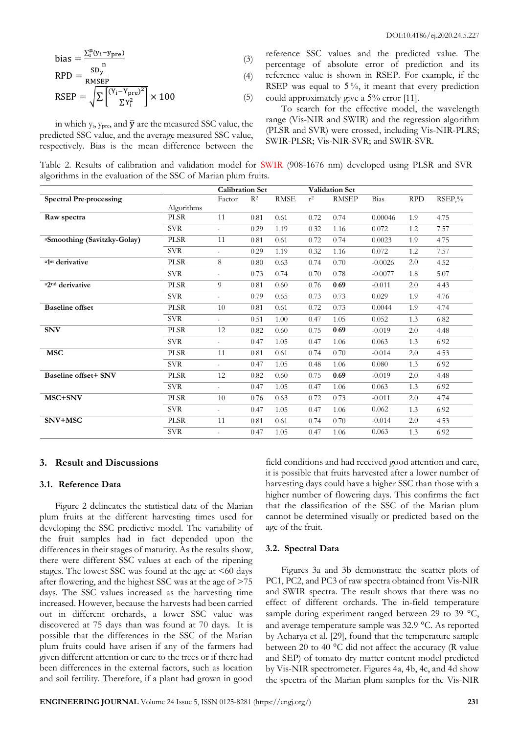bias = 
$$
\frac{\sum_{i}^{n}(y_{i} - y_{pre})}{n}
$$
 (3)

$$
RPD = \frac{SD_y}{RMSEP} \tag{4}
$$

$$
RSEP = \sqrt{\sum \left[\frac{(Y_i - Y_{pre})^2}{\sum Y_i^2}\right]} \times 100\tag{5}
$$

in which  $y_i$ ,  $y_{pre}$ , and  $\bar{y}$  are the measured SSC value, the predicted SSC value, and the average measured SSC value, respectively. Bias is the mean difference between the reference SSC values and the predicted value. The percentage of absolute error of prediction and its reference value is shown in RSEP. For example, if the RSEP was equal to  $5\%$ , it meant that every prediction could approximately give a 5% error [11].

To search for the effective model, the wavelength range (Vis-NIR and SWIR) and the regression algorithm (PLSR and SVR) were crossed, including Vis-NIR-PLRS; SWIR-PLSR; Vis-NIR-SVR; and SWIR-SVR.

Table 2. Results of calibration and validation model for SWIR (908-1676 nm) developed using PLSR and SVR algorithms in the evaluation of the SSC of Marian plum fruits.

|                                         |             | <b>Calibration Set</b> |       |             |       | <b>Validation Set</b> |           |            |        |
|-----------------------------------------|-------------|------------------------|-------|-------------|-------|-----------------------|-----------|------------|--------|
| <b>Spectral Pre-processing</b>          |             | Factor                 | $R^2$ | <b>RMSE</b> | $r^2$ | <b>RMSEP</b>          | Bias      | <b>RPD</b> | RSEP,% |
|                                         | Algorithms  |                        |       |             |       |                       |           |            |        |
| Raw spectra                             | <b>PLSR</b> | 11                     | 0.81  | 0.61        | 0.72  | 0.74                  | 0.00046   | 1.9        | 4.75   |
|                                         | <b>SVR</b>  | $\sim$                 | 0.29  | 1.19        | 0.32  | 1.16                  | 0.072     | 1.2        | 7.57   |
| <sup>a</sup> Smoothing (Savitzky-Golay) | <b>PLSR</b> | 11                     | 0.81  | 0.61        | 0.72  | 0.74                  | 0.0023    | 1.9        | 4.75   |
|                                         | <b>SVR</b>  | $\sim$                 | 0.29  | 1.19        | 0.32  | 1.16                  | 0.072     | 1.2        | 7.57   |
| a1st derivative                         | <b>PLSR</b> | 8                      | 0.80  | 0.63        | 0.74  | 0.70                  | $-0.0026$ | 2.0        | 4.52   |
|                                         | <b>SVR</b>  | $\mathbf{r}$           | 0.73  | 0.74        | 0.70  | 0.78                  | $-0.0077$ | 1.8        | 5.07   |
| <sup>a</sup> 2 <sup>nd</sup> derivative | <b>PLSR</b> | 9                      | 0.81  | 0.60        | 0.76  | 0.69                  | $-0.011$  | 2.0        | 4.43   |
|                                         | <b>SVR</b>  | ä,                     | 0.79  | 0.65        | 0.73  | 0.73                  | 0.029     | 1.9        | 4.76   |
| <b>Baseline</b> offset                  | <b>PLSR</b> | 10                     | 0.81  | 0.61        | 0.72  | 0.73                  | 0.0044    | 1.9        | 4.74   |
|                                         | <b>SVR</b>  | $\sim$                 | 0.51  | 1.00        | 0.47  | 1.05                  | 0.052     | 1.3        | 6.82   |
| <b>SNV</b>                              | <b>PLSR</b> | 12                     | 0.82  | 0.60        | 0.75  | 0.69                  | $-0.019$  | 2.0        | 4.48   |
|                                         | <b>SVR</b>  | a.                     | 0.47  | 1.05        | 0.47  | 1.06                  | 0.063     | 1.3        | 6.92   |
| <b>MSC</b>                              | <b>PLSR</b> | 11                     | 0.81  | 0.61        | 0.74  | 0.70                  | $-0.014$  | 2.0        | 4.53   |
|                                         | <b>SVR</b>  | a.                     | 0.47  | 1.05        | 0.48  | 1.06                  | 0.080     | 1.3        | 6.92   |
| <b>Baseline offset+ SNV</b>             | <b>PLSR</b> | 12                     | 0.82  | 0.60        | 0.75  | 0.69                  | $-0.019$  | 2.0        | 4.48   |
|                                         | <b>SVR</b>  | a.                     | 0.47  | 1.05        | 0.47  | 1.06                  | 0.063     | 1.3        | 6.92   |
| MSC+SNV                                 | <b>PLSR</b> | 10                     | 0.76  | 0.63        | 0.72  | 0.73                  | $-0.011$  | 2.0        | 4.74   |
|                                         | <b>SVR</b>  | $\sim$                 | 0.47  | 1.05        | 0.47  | 1.06                  | 0.062     | 1.3        | 6.92   |
| SNV+MSC                                 | <b>PLSR</b> | 11                     | 0.81  | 0.61        | 0.74  | 0.70                  | $-0.014$  | 2.0        | 4.53   |
|                                         | <b>SVR</b>  |                        | 0.47  | 1.05        | 0.47  | 1.06                  | 0.063     | 1.3        | 6.92   |

## **3. Result and Discussions**

## **3.1. Reference Data**

Figure 2 delineates the statistical data of the Marian plum fruits at the different harvesting times used for developing the SSC predictive model. The variability of the fruit samples had in fact depended upon the differences in their stages of maturity. As the results show, there were different SSC values at each of the ripening stages. The lowest SSC was found at the age at  $\leq 60$  days after flowering, and the highest SSC was at the age of >75 days. The SSC values increased as the harvesting time increased. However, because the harvests had been carried out in different orchards, a lower SSC value was discovered at 75 days than was found at 70 days. It is possible that the differences in the SSC of the Marian plum fruits could have arisen if any of the farmers had given different attention or care to the trees or if there had been differences in the external factors, such as location and soil fertility. Therefore, if a plant had grown in good

field conditions and had received good attention and care, it is possible that fruits harvested after a lower number of harvesting days could have a higher SSC than those with a higher number of flowering days. This confirms the fact that the classification of the SSC of the Marian plum cannot be determined visually or predicted based on the age of the fruit.

## **3.2. Spectral Data**

Figures 3a and 3b demonstrate the scatter plots of PC1, PC2, and PC3 of raw spectra obtained from Vis-NIR and SWIR spectra. The result shows that there was no effect of different orchards. The in-field temperature sample during experiment ranged between 29 to 39 °C, and average temperature sample was 32.9 °C. As reported by Acharya et al. [29], found that the temperature sample between 20 to 40 °C did not affect the accuracy (R value and SEP) of tomato dry matter content model predicted by Vis-NIR spectrometer. Figures 4a, 4b, 4c, and 4d show the spectra of the Marian plum samples for the Vis-NIR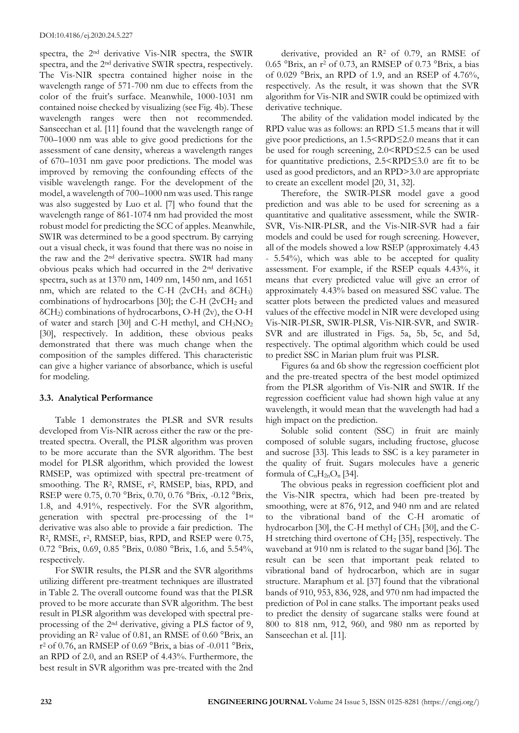spectra, the 2nd derivative Vis-NIR spectra, the SWIR spectra, and the 2nd derivative SWIR spectra, respectively. The Vis-NIR spectra contained higher noise in the wavelength range of 571-700 nm due to effects from the color of the fruit's surface. Meanwhile, 1000-1031 nm contained noise checked by visualizing (see Fig. 4b). These wavelength ranges were then not recommended. Sanseechan et al. [11] found that the wavelength range of 700–1000 nm was able to give good predictions for the assessment of cane density, whereas a wavelength ranges of 670–1031 nm gave poor predictions. The model was improved by removing the confounding effects of the visible wavelength range. For the development of the model, a wavelength of 700–1000 nm was used. This range was also suggested by Luo et al. [7] who found that the wavelength range of 861-1074 nm had provided the most robust model for predicting the SCC of apples. Meanwhile, SWIR was determined to be a good spectrum. By carrying out a visual check, it was found that there was no noise in the raw and the 2nd derivative spectra. SWIR had many obvious peaks which had occurred in the 2nd derivative spectra, such as at 1370 nm, 1409 nm, 1450 nm, and 1651 nm, which are related to the C-H ( $2vCH_3$  and  $\delta CH_3$ ) combinations of hydrocarbons [30]; the C-H ( $2vCH<sub>2</sub>$  and  $\delta$ CH<sub>2</sub>) combinations of hydrocarbons, O-H (2v), the O-H of water and starch [30] and C-H methyl, and  $CH<sub>3</sub>NO<sub>2</sub>$ [30], respectively. In addition, these obvious peaks demonstrated that there was much change when the composition of the samples differed. This characteristic can give a higher variance of absorbance, which is useful for modeling.

## **3.3. Analytical Performance**

Table 1 demonstrates the PLSR and SVR results developed from Vis-NIR across either the raw or the pretreated spectra. Overall, the PLSR algorithm was proven to be more accurate than the SVR algorithm. The best model for PLSR algorithm, which provided the lowest RMSEP, was optimized with spectral pre-treatment of smoothing. The R<sup>2</sup>, RMSE, r<sup>2</sup>, RMSEP, bias, RPD, and RSEP were 0.75, 0.70 °Brix, 0.70, 0.76 °Brix, -0.12 °Brix, 1.8, and 4.91%, respectively. For the SVR algorithm, generation with spectral pre-processing of the 1st derivative was also able to provide a fair prediction. The R<sup>2</sup>, RMSE, r<sup>2</sup>, RMSEP, bias, RPD, and RSEP were 0.75, 0.72 °Brix, 0.69, 0.85 °Brix, 0.080 °Brix, 1.6, and 5.54%, respectively.

For SWIR results, the PLSR and the SVR algorithms utilizing different pre-treatment techniques are illustrated in Table 2. The overall outcome found was that the PLSR proved to be more accurate than SVR algorithm. The best result in PLSR algorithm was developed with spectral preprocessing of the 2nd derivative, giving a PLS factor of 9, providing an R<sup>2</sup> value of 0.81, an RMSE of 0.60 °Brix, an r <sup>2</sup> of 0.76, an RMSEP of 0.69 °Brix, a bias of -0.011 °Brix, an RPD of 2.0, and an RSEP of 4.43%. Furthermore, the best result in SVR algorithm was pre-treated with the 2nd

derivative, provided an R<sup>2</sup> of 0.79, an RMSE of 0.65 °Brix, an r<sup>2</sup> of 0.73, an RMSEP of 0.73 °Brix, a bias of 0.029 °Brix, an RPD of 1.9, and an RSEP of 4.76%, respectively. As the result, it was shown that the SVR algorithm for Vis-NIR and SWIR could be optimized with derivative technique.

The ability of the validation model indicated by the RPD value was as follows: an RPD  $\leq$ 1.5 means that it will give poor predictions, an 1.5<RPD≤2.0 means that it can be used for rough screening, 2.0<RPD≤2.5 can be used for quantitative predictions, 2.5<RPD≤3.0 are fit to be used as good predictors, and an RPD>3.0 are appropriate to create an excellent model [20, 31, 32].

Therefore, the SWIR-PLSR model gave a good prediction and was able to be used for screening as a quantitative and qualitative assessment, while the SWIR-SVR, Vis-NIR-PLSR, and the Vis-NIR-SVR had a fair models and could be used for rough screening. However, all of the models showed a low RSEP (approximately 4.43 - 5.54%), which was able to be accepted for quality assessment. For example, if the RSEP equals 4.43%, it means that every predicted value will give an error of approximately 4.43% based on measured SSC value. The scatter plots between the predicted values and measured values of the effective model in NIR were developed using Vis-NIR-PLSR, SWIR-PLSR, Vis-NIR-SVR, and SWIR-SVR and are illustrated in Figs. 5a, 5b, 5c, and 5d, respectively. The optimal algorithm which could be used to predict SSC in Marian plum fruit was PLSR.

Figures 6a and 6b show the regression coefficient plot and the pre-treated spectra of the best model optimized from the PLSR algorithm of Vis-NIR and SWIR. If the regression coefficient value had shown high value at any wavelength, it would mean that the wavelength had had a high impact on the prediction.

Soluble solid content (SSC) in fruit are mainly composed of soluble sugars, including fructose, glucose and sucrose [33]. This leads to SSC is a key parameter in the quality of fruit. Sugars molecules have a generic formula of  $C_nH_{2n}O_n$  [34].

The obvious peaks in regression coefficient plot and the Vis-NIR spectra, which had been pre-treated by smoothing, were at 876, 912, and 940 nm and are related to the vibrational band of the C-H aromatic of hydrocarbon [30], the C-H methyl of CH<sub>3</sub> [30], and the C-H stretching third overtone of CH<sup>2</sup> [35], respectively. The waveband at 910 nm is related to the sugar band [36]. The result can be seen that important peak related to vibrational band of hydrocarbon, which are in sugar structure. Maraphum et al. [37] found that the vibrational bands of 910, 953, 836, 928, and 970 nm had impacted the prediction of Pol in cane stalks. The important peaks used to predict the density of sugarcane stalks were found at 800 to 818 nm, 912, 960, and 980 nm as reported by Sanseechan et al. [11].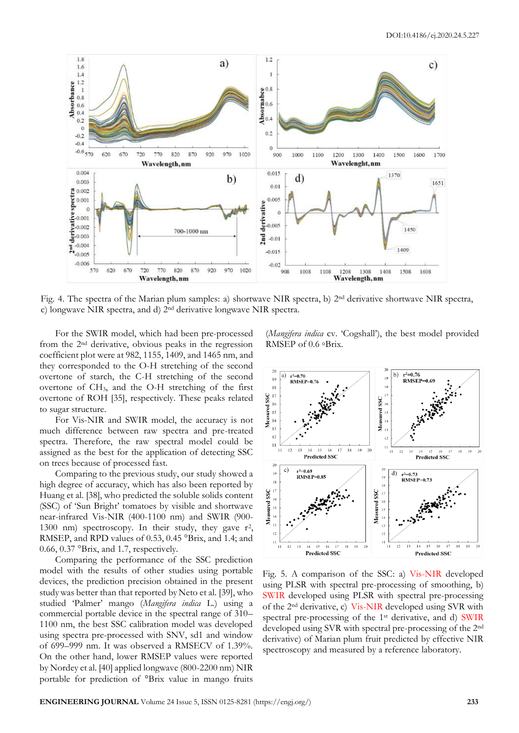

Fig. 4. The spectra of the Marian plum samples: a) shortwave NIR spectra, b) 2nd derivative shortwave NIR spectra, c) longwave NIR spectra, and d) 2nd derivative longwave NIR spectra.

For the SWIR model, which had been pre-processed from the 2nd derivative, obvious peaks in the regression coefficient plot were at 982, 1155, 1409, and 1465 nm, and they corresponded to the O-H stretching of the second overtone of starch, the C-H stretching of the second overtone of CH3, and the O-H stretching of the first overtone of ROH [35], respectively. These peaks related to sugar structure.

For Vis-NIR and SWIR model, the accuracy is not much difference between raw spectra and pre-treated spectra. Therefore, the raw spectral model could be assigned as the best for the application of detecting SSC on trees because of processed fast.

Comparing to the previous study, our study showed a high degree of accuracy, which has also been reported by Huang et al. [38], who predicted the soluble solids content (SSC) of 'Sun Bright' tomatoes by visible and shortwave near-infrared Vis-NIR (400-1100 nm) and SWIR (900- 1300 nm) spectroscopy. In their study, they gave r<sup>2</sup>, RMSEP, and RPD values of 0.53, 0.45 °Brix, and 1.4; and 0.66, 0.37 °Brix, and 1.7, respectively.

Comparing the performance of the SSC prediction model with the results of other studies using portable devices, the prediction precision obtained in the present study was better than that reported by Neto et al. [39], who studied 'Palmer' mango (*Mangifera indica* L.) using a commercial portable device in the spectral range of 310– 1100 nm, the best SSC calibration model was developed using spectra pre-processed with SNV, sd1 and window of 699–999 nm. It was observed a RMSECV of 1.39%. On the other hand, lower RMSEP values were reported by Nordey et al. [40] applied longwave (800-2200 nm) NIR portable for prediction of °Brix value in mango fruits

(*Mangifera indica* cv. 'Cogshall'), the best model provided RMSEP of 0.6 ◦Brix.



Fig. 5. A comparison of the SSC: a) Vis-NIR developed using PLSR with spectral pre-processing of smoothing, b) SWIR developed using PLSR with spectral pre-processing of the 2nd derivative, c) Vis-NIR developed using SVR with spectral pre-processing of the 1st derivative, and d) SWIR developed using SVR with spectral pre-processing of the 2nd derivative) of Marian plum fruit predicted by effective NIR spectroscopy and measured by a reference laboratory.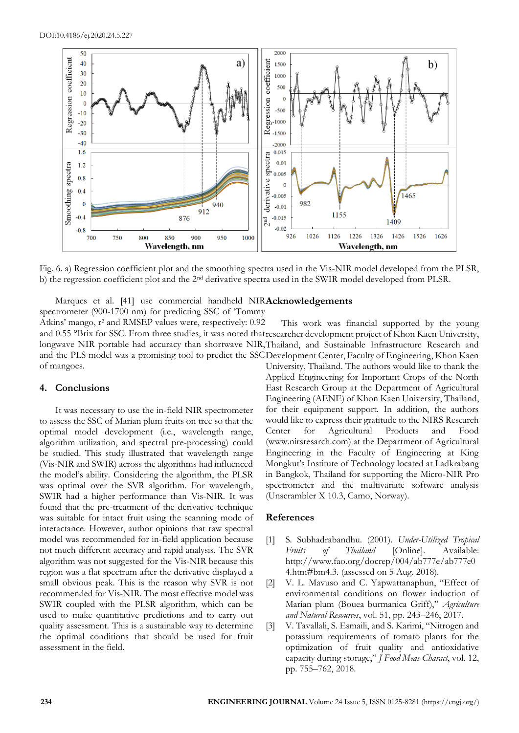

Fig. 6. a) Regression coefficient plot and the smoothing spectra used in the Vis-NIR model developed from the PLSR, b) the regression coefficient plot and the 2nd derivative spectra used in the SWIR model developed from PLSR.

Marques et al. [41] use commercial handheld NIRAcknowledgements

spectrometer (900-1700 nm) for predicting SSC of 'Tommy Atkins' mango,  $r^2$  and RMSEP values were, respectively: 0.92 and 0.55 °Brix for SSC. From three studies, it was noted that researcher development project of Khon Kaen University, longwave NIR portable had accuracy than shortwave NIR, Thailand, and Sustainable Infrastructure Research and and the PLS model was a promising tool to predict the SSC Development Center, Faculty of Engineering, Khon Kaen of mangoes. This work was financial supported by the young

## **4. Conclusions**

It was necessary to use the in-field NIR spectrometer to assess the SSC of Marian plum fruits on tree so that the optimal model development (i.e., wavelength range, algorithm utilization, and spectral pre-processing) could be studied. This study illustrated that wavelength range (Vis-NIR and SWIR) across the algorithms had influenced the model's ability. Considering the algorithm, the PLSR was optimal over the SVR algorithm. For wavelength, SWIR had a higher performance than Vis-NIR. It was found that the pre-treatment of the derivative technique was suitable for intact fruit using the scanning mode of interactance. However, author opinions that raw spectral model was recommended for in-field application because not much different accuracy and rapid analysis. The SVR algorithm was not suggested for the Vis-NIR because this region was a flat spectrum after the derivative displayed a small obvious peak. This is the reason why SVR is not recommended for Vis-NIR. The most effective model was SWIR coupled with the PLSR algorithm, which can be used to make quantitative predictions and to carry out quality assessment. This is a sustainable way to determine the optimal conditions that should be used for fruit assessment in the field.

University, Thailand. The authors would like to thank the Applied Engineering for Important Crops of the North East Research Group at the Department of Agricultural Engineering (AENE) of Khon Kaen University, Thailand, for their equipment support. In addition, the authors would like to express their gratitude to the NIRS Research Center for Agricultural Products and Food (www.nirsresarch.com) at the Department of Agricultural Engineering in the Faculty of Engineering at King Mongkut's Institute of Technology located at Ladkrabang in Bangkok, Thailand for supporting the Micro-NIR Pro spectrometer and the multivariate software analysis (Unscrambler X 10.3, Camo, Norway).

# **References**

- [1] S. Subhadrabandhu. (2001). *Under-Utilized Tropical Fruits of Thailand* [Online]. Available: http://www.fao.org/docrep/004/ab777e/ab777e0 4.htm#bm4.3. (assessed on 5 Aug. 2018).
- [2] V. L. Mavuso and C. Yapwattanaphun, "Effect of environmental conditions on flower induction of Marian plum (Bouea burmanica Griff)," *Agriculture and Natural Resources*, vol. 51, pp. 243–246, 2017.
- [3] V. Tavallali, S. Esmaili, and S. Karimi, "Nitrogen and potassium requirements of tomato plants for the optimization of fruit quality and antioxidative capacity during storage," *J Food Meas Charact*, vol. 12, pp. 755–762, 2018.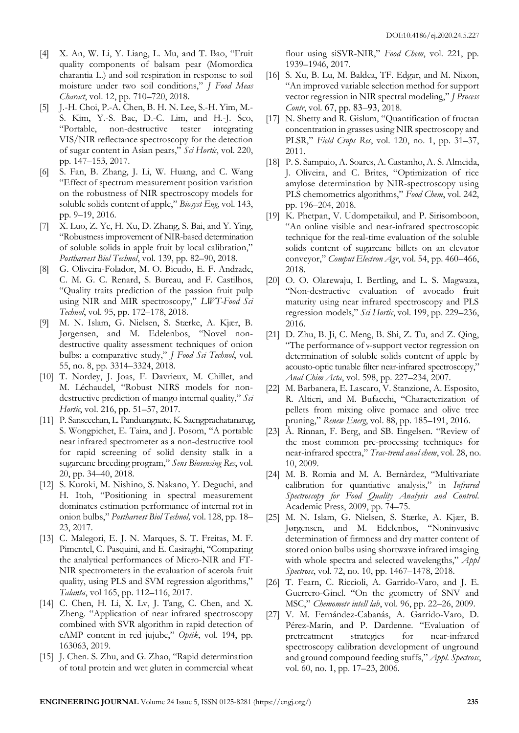- [4] X. An, W. Li, Y. Liang, L. Mu, and T. Bao, "Fruit quality components of balsam pear (Momordica charantia L.) and soil respiration in response to soil moisture under two soil conditions," *J Food Meas Charact*, vol. 12, pp. 710–720, 2018.
- [5] J.-H. Choi, P.-A. Chen, B. H. N. Lee, S.-H. Yim, M.- S. Kim, Y.-S. Bae, D.-C. Lim, and H.-J. Seo, "Portable, non-destructive tester integrating VIS/NIR reflectance spectroscopy for the detection of sugar content in Asian pears," *Sci Hortic*, vol. 220, pp. 147–153, 2017.
- [6] S. Fan, B. Zhang, J. Li, W. Huang, and C. Wang "Effect of spectrum measurement position variation on the robustness of NIR spectroscopy models for soluble solids content of apple," *Biosyst Eng*, vol. 143, pp. 9–19, 2016.
- [7] X. Luo, Z. Ye, H. Xu, D. Zhang, S. Bai, and Y. Ying, "Robustness improvement of NIR-based determination of soluble solids in apple fruit by local calibration," *Postharvest Biol Technol*, vol. 139, pp. 82–90, 2018.
- [8] G. Oliveira-Folador, M. O. Bicudo, E. F. Andrade, C. M. G. C. Renard, S. Bureau, and F. Castilhos, "Quality traits prediction of the passion fruit pulp using NIR and MIR spectroscopy," *LWT-Food Sci Technol*, vol. 95, pp. 172–178, 2018.
- [9] M. N. Islam, G. Nielsen, S. Stærke, A. Kjær, B. Jørgensen, and M. Edelenbos, "Novel nondestructive quality assessment techniques of onion bulbs: a comparative study," *J Food Sci Technol*, vol. 55, no. 8, pp. 3314–3324, 2018.
- [10] T. Nordey, J. Joas, F. Davrieux, M. Chillet, and M. Léchaudel, "Robust NIRS models for nondestructive prediction of mango internal quality," *Sci Hortic*, vol. 216, pp. 51–57, 2017.
- [11] P. Sanseechan, L. Panduangnate, K. Saengprachatanarug, S. Wongpichet, E. Taira, and J. Posom, "A portable near infrared spectrometer as a non-destructive tool for rapid screening of solid density stalk in a sugarcane breeding program," *Sens Biosensing Res*, vol. 20, pp. 34–40, 2018.
- [12] S. Kuroki, M. Nishino, S. Nakano, Y. Deguchi, and H. Itoh, "Positioning in spectral measurement dominates estimation performance of internal rot in onion bulbs," *Postharvest Biol Technol,* vol. 128, pp. 18– 23, 2017.
- [13] C. Malegori, E. J. N. Marques, S. T. Freitas, M. F. Pimentel, C. Pasquini, and E. Casiraghi, "Comparing the analytical performances of Micro-NIR and FT-NIR spectrometers in the evaluation of acerola fruit quality, using PLS and SVM regression algorithms," *Talanta*, vol 165, pp. 112–116, 2017.
- [14] C. Chen, H. Li, X. Lv, J. Tang, C. Chen, and X. Zheng. "Application of near infrared spectroscopy combined with SVR algorithm in rapid detection of cAMP content in red jujube," *Optik*, vol. 194, pp. 163063, 2019.
- [15] J. Chen. S. Zhu, and G. Zhao, "Rapid determination of total protein and wet gluten in commercial wheat

flour using siSVR-NIR," Food Chem, vol. 221, pp. 1939–1946, 2017.

- [16] S. Xu, B. Lu, M. Baldea, TF. Edgar, and M. Nixon, "An improved variable selection method for support vector regression in NIR spectral modeling," *J Process Contr*, vol. 67, pp. 83–93, 2018.
- [17] N. Shetty and R. Gislum, "Quantification of fructan concentration in grasses using NIR spectroscopy and PLSR," *Field Crops Res*, vol. 120, no. 1, pp. 31–37, 2011.
- [18] P. S. Sampaio, A. Soares, A. Castanho, A. S. Almeida, J. Oliveira, and C. Brites, "Optimization of rice amylose determination by NIR-spectroscopy using PLS chemometrics algorithms," *Food Chem*, vol. 242, pp. 196–204, 2018.
- [19] K. Phetpan, V. Udompetaikul, and P. Sirisomboon, "An online visible and near-infrared spectroscopic technique for the real-time evaluation of the soluble solids content of sugarcane billets on an elevator conveyor," *Comput Electron Agr*, vol. 54, pp. 460–466, 2018.
- [20] O. O. Olarewaju, I. Bertling, and L. S. Magwaza, "Non-destructive evaluation of avocado fruit maturity using near infrared spectroscopy and PLS regression models," *Sci Hortic*, vol. 199, pp. 229–236, 2016.
- [21] D. Zhu, B. Ji, C. Meng, B. Shi, Z. Tu, and Z. Qing, "The performance of ν-support vector regression on determination of soluble solids content of apple by acousto-optic tunable filter near-infrared spectroscopy," *Anal Chim Acta*, vol. 598, pp. 227–234, 2007.
- [22] M. Barbanera, E. Lascaro, V. Stanzione, A. Esposito, R. Altieri, and M. Bufacchi, "Characterization of pellets from mixing olive pomace and olive tree pruning," *Renew Energ*, vol. 88, pp. 185–191, 2016.
- [23] Å. Rinnan, F. Berg, and SB. Engelsen. "Review of the most common pre-processing techniques for near-infrared spectra," *Trac-trend anal chem*, vol. 28, no. 10, 2009.
- [24] M. B. Romìa and M. A. Bernàrdez, "Multivariate calibration for quantiative analysis," in *Infrared Spectroscopy for Food Quality Analysis and Control*. Academic Press, 2009, pp. 74–75.
- [25] M. N. Islam, G. Nielsen, S. Stærke, A. Kjær, B. Jørgensen, and M. Edelenbos, "Noninvasive determination of firmness and dry matter content of stored onion bulbs using shortwave infrared imaging with whole spectra and selected wavelengths," *Appl Spectrosc*, vol. 72, no. 10, pp. 1467–1478, 2018.
- [26] T. Fearn, C. Riccioli, A. Garrido-Varo, and J. E. Guerrero-Ginel. "On the geometry of SNV and MSC," *Chemometr intell lab*, vol. 96, pp. 22–26, 2009.
- [27] V. M. Fernández-Cabanás, A. Garrido-Varo, D. Pérez-Marín, and P. Dardenne. "Evaluation of pretreatment strategies for near-infrared spectroscopy calibration development of unground and ground compound feeding stuffs," *Appl. Spectrosc*, vol. 60, no. 1, pp. 17–23, 2006.